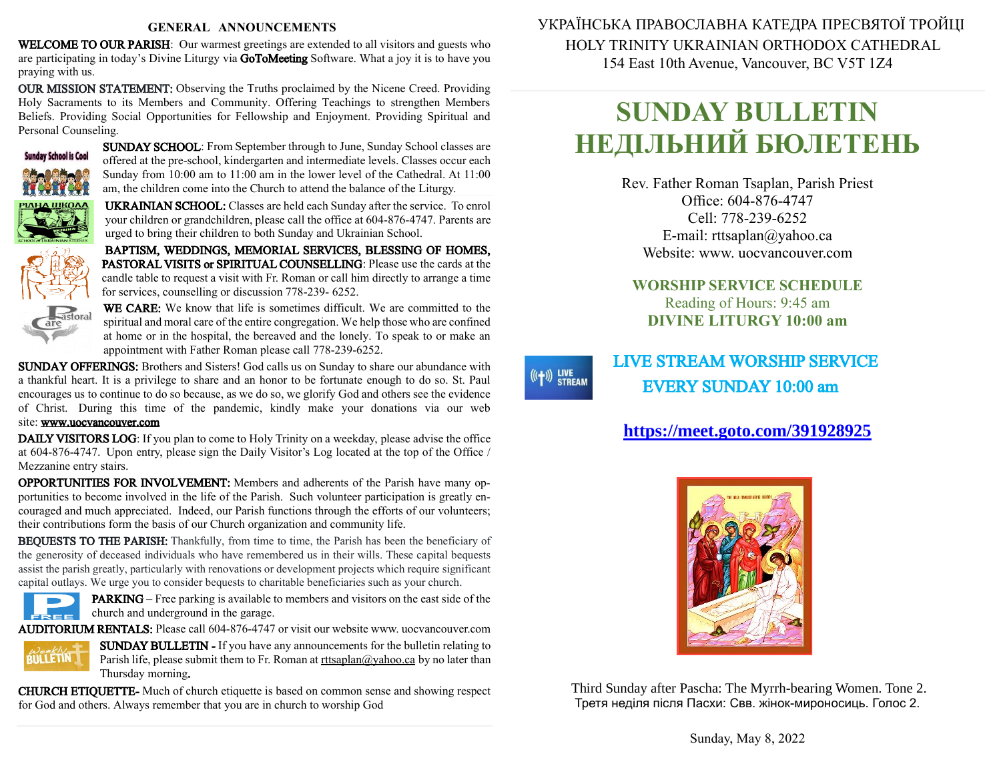#### **GENERAL ANNOUNCEMENTS**

WELCOME TO OUR PARISH: Our warmest greetings are extended to all visitors and guests who are participating in today's Divine Liturgy via GoToMeeting Software. What a joy it is to have you praying with us.

OUR MISSION STATEMENT: Observing the Truths proclaimed by the Nicene Creed. Providing Holy Sacraments to its Members and Community. Offering Teachings to strengthen Members Beliefs. Providing Social Opportunities for Fellowship and Enjoyment. Providing Spiritual and Personal Counseling.



SUNDAY SCHOOL: From September through to June, Sunday School classes are offered at the pre-school, kindergarten and intermediate levels. Classes occur each Sunday from 10:00 am to 11:00 am in the lower level of the Cathedral. At 11:00 am, the children come into the Church to attend the balance of the Liturgy.

UKRAINIAN SCHOOL: Classes are held each Sunday after the service. To enrol your children or grandchildren, please call the office at 604-876-4747. Parents are urged to bring their children to both Sunday and Ukrainian School.

BAPTISM, WEDDINGS, MEMORIAL SERVICES, BLESSING OF HOMES, PASTORAL VISITS or SPIRITUAL COUNSELLING: Please use the cards at the candle table to request a visit with Fr. Roman or call him directly to arrange a time for services, counselling or discussion 778-239- 6252.



WE CARE: We know that life is sometimes difficult. We are committed to the spiritual and moral care of the entire congregation. We help those who are confined at home or in the hospital, the bereaved and the lonely. To speak to or make an appointment with Father Roman please call 778-239-6252.

SUNDAY OFFERINGS: Brothers and Sisters! God calls us on Sunday to share our abundance with a thankful heart. It is a privilege to share and an honor to be fortunate enough to do so. St. Paul encourages us to continue to do sobecause, as we do so, we glorify God and others see the evidence of Christ. During this time of the pandemic, kindly make your donations via our web site: [www.uocvancouver.com](http://www.uocvancouver.com/) 

DAILY VISITORS LOG: If you plan to come to Holy Trinity on a weekday, please advise the office at 604-876-4747. Upon entry, please sign the Daily Visitor's Log located at the top of the Office / Mezzanine entry stairs.

OPPORTUNITIES FOR INVOLVEMENT: Members and adherents of the Parish have many opportunities to become involved in the life of the Parish. Such volunteer participation is greatly encouraged and much appreciated. Indeed, our Parish functions through the efforts of our volunteers; their contributions form the basis of our Church organization and community life.

BEQUESTS TO THE PARISH: Thankfully, from time to time, the Parish has been the beneficiary of the generosity of deceased individuals who have remembered us in their wills. These capital bequests assist the parish greatly, particularly with renovations or development projects which require significant capital outlays. We urge you to consider bequests to charitable beneficiaries such as your church.



PARKING –Free parking is available to members and visitors on the east side of the  $c =$  church and underground in the garage.

AUDITORIUM RENTALS: Please call 604-876-4747 or visit our website www. uocvancouver.com



SUNDAY BULLETIN - If you have any announcements for the bulletin relating to Parish life, please submit them to Fr. Roman at  $rtt \frac{\partial y}{\partial x}$  and  $\frac{\partial y}{\partial y}$  and later than Thursday morning.

CHURCH ETIQUETTE- Much of church etiquette is based on common sense and showing respect for God and others. Always remember that you are in church to worship God

 УКРАЇНСЬКА ПРАВОСЛАВНА КАТЕДРА ПРЕСВЯТОЇ ТРОЙЦІ HOLY TRINITY UKRAINIAN ORTHODOX CATHEDRAL 154 East 10th Avenue, Vancouver, BC V5T 1Z4

# **SUNDAY BULLETIN НЕДІЛЬНИЙ БЮЛЕТЕНЬ**

Rev. Father Roman Tsaplan, Parish Priest Office: 604-876-4747 Cell: 778-239-6252 E-mail: rttsaplan@yahoo.ca Website: www. uocvancouver.com

### **WORSHIP SERVICE SCHEDULE** Reading of Hours: 9:45 am **DIVINE LITURGY 10:00 am**

# LIVE STREAM WORSHIP SERVICE EVERY SUNDAY 10:00 am

 $((+))$  LIVE<br>STREAM

# **<https://meet.goto.com/391928925>**



 Third Sunday after Pascha: The Myrrh-bearing Women. Tone 2. Третя неділя після Пасхи: Свв. жінок-мироносиць. Голос 2.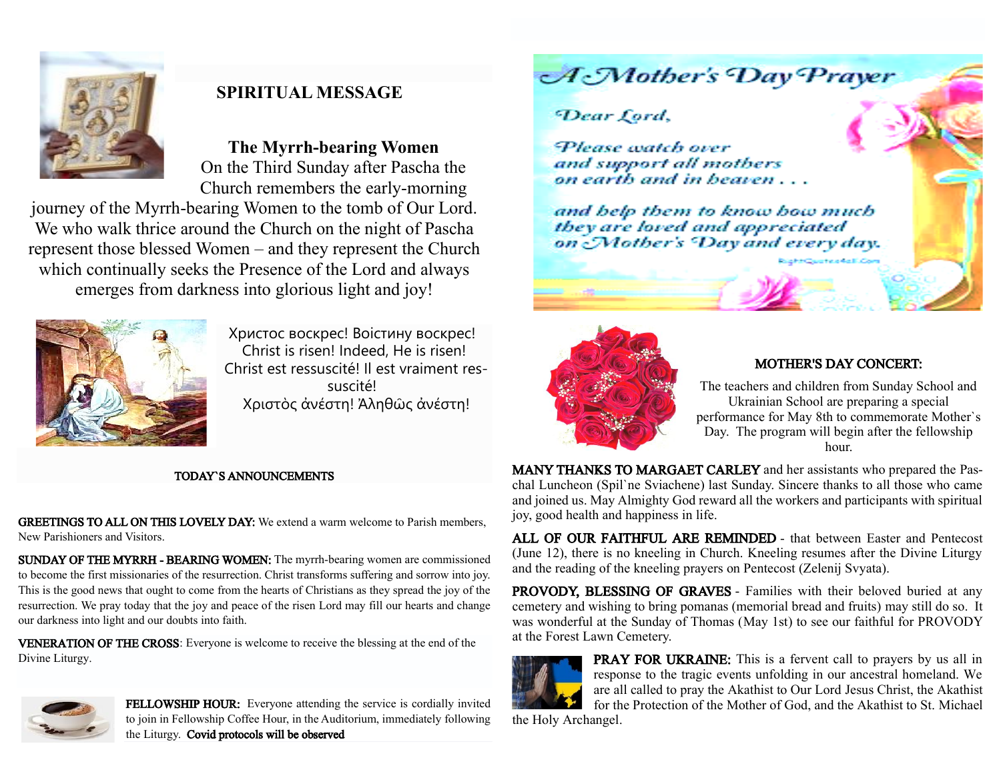

# **SPIRITUAL MESSAGE**

**The Myrrh-bearing Women** On the Third Sunday after Pascha the Church remembers the early-morning

journey of the Myrrh-bearing Women to the tomb of Our Lord. We who walk thrice around the Church on the night of Pascha represent those blessed Women – and they represent the Church which continually seeks the Presence of the Lord and always emerges from darkness into glorious light and joy!



Христос воскрес! Воістину воскрес! Christ is risen! Indeed, He is risen! Christ est ressuscité! Il est vraiment ressuscité! Χριστὸς ἀνέστη! Ἀληθῶς ἀνέστη!

#### TODAY`S ANNOUNCEMENTS

GREETINGS TO ALL ON THIS LOVELY DAY: We extend a warm welcome to Parish members, New Parishioners and Visitors.

SUNDAY OF THE MYRRH - BEARING WOMEN: The myrrh-bearing women are commissioned to become the first missionaries of the resurrection. Christ transforms suffering and sorrow into joy. This is the good news that ought to come from the hearts of Christians as they spread the joy of the resurrection. We pray today that the joy and peace of the risen Lord may fill our hearts and change our darkness into light and our doubts into faith.

VENERATION OF THE CROSS: Everyone is welcome to receive the blessing at the end of the Divine Liturgy.



FELLOWSHIP HOUR: Everyone attending the service is cordially invited to join in Fellowship Coffee Hour, in the Auditorium, immediately following the Liturgy. Covid protocols will be observed

**A**Mother's Day Prayer

## Dear Cord.

Please watch over and support all mothers on earth and in heaven...

and help them to know how much they are loved and appreciated on Mother's Day and every day.



#### MOTHER'S DAY CONCERT:

The teachers and children from Sunday School and Ukrainian School are preparing a special performance for May 8th to commemorate Mother`s Day. The program will begin after the fellowship hour.

MANY THANKS TO MARGAET CARLEY and her assistants who prepared the Paschal Luncheon (Spil`ne Sviachene) last Sunday. Sincere thanks to all those who came and joined us. May Almighty God reward all the workers and participants with spiritual joy, good health and happiness in life.

ALL OF OUR FAITHFUL ARE REMINDED - that between Easter and Pentecost (June 12), there is no kneeling in Church. Kneeling resumes after the Divine Liturgy and the reading of the kneeling prayers on Pentecost (Zelenij Svyata).

PROVODY, BLESSING OF GRAVES - Families with their beloved buried at any cemetery and wishing to bring pomanas (memorial bread and fruits) may still do so. It was wonderful at the Sunday of Thomas (May 1st) to see our faithful for PROVODY at the Forest Lawn Cemetery.



PRAY FOR UKRAINE: This is a fervent call to prayers by us all in response to the tragic events unfolding in our ancestral homeland. We are all called to pray the Akathist to Our Lord Jesus Christ, the Akathist for the Protection of the Mother of God, and the Akathist to St. Michael

the Holy Archangel.